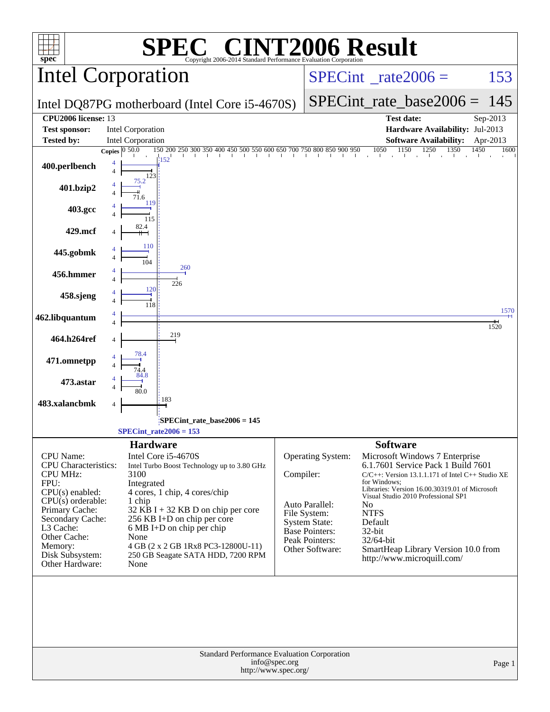|                                                                                                                                                                                                                                     | $\blacksquare$                                                                                                                                                                                                                                                                                                                                        |           |                                                                                                                                    | <b>INT2006 Result</b>                                                                                                                                                                                                                                                                                                                                                                        |                          |
|-------------------------------------------------------------------------------------------------------------------------------------------------------------------------------------------------------------------------------------|-------------------------------------------------------------------------------------------------------------------------------------------------------------------------------------------------------------------------------------------------------------------------------------------------------------------------------------------------------|-----------|------------------------------------------------------------------------------------------------------------------------------------|----------------------------------------------------------------------------------------------------------------------------------------------------------------------------------------------------------------------------------------------------------------------------------------------------------------------------------------------------------------------------------------------|--------------------------|
| $spec^*$                                                                                                                                                                                                                            | Copyright 2006-2014 Standard Performance Evaluation Corporation<br>Intel Corporation                                                                                                                                                                                                                                                                  |           |                                                                                                                                    | $SPECint^{\circ}$ <sub>_rate2006</sub> =                                                                                                                                                                                                                                                                                                                                                     | 153                      |
|                                                                                                                                                                                                                                     |                                                                                                                                                                                                                                                                                                                                                       |           |                                                                                                                                    |                                                                                                                                                                                                                                                                                                                                                                                              |                          |
| CPU2006 license: 13                                                                                                                                                                                                                 | Intel DQ87PG motherboard (Intel Core i5-4670S)                                                                                                                                                                                                                                                                                                        |           | $SPECint_rate\_base2006 =$<br>Test date:                                                                                           | 145<br>Sep-2013                                                                                                                                                                                                                                                                                                                                                                              |                          |
| <b>Test sponsor:</b>                                                                                                                                                                                                                | <b>Intel Corporation</b>                                                                                                                                                                                                                                                                                                                              |           |                                                                                                                                    | Hardware Availability: Jul-2013                                                                                                                                                                                                                                                                                                                                                              |                          |
| <b>Tested by:</b>                                                                                                                                                                                                                   | <b>Intel Corporation</b><br>0 50.0<br><b>Copies</b>                                                                                                                                                                                                                                                                                                   |           |                                                                                                                                    | <b>Software Availability:</b>                                                                                                                                                                                                                                                                                                                                                                | Apr-2013<br>1600<br>1450 |
| 400.perlbench                                                                                                                                                                                                                       | 152<br>123                                                                                                                                                                                                                                                                                                                                            |           |                                                                                                                                    |                                                                                                                                                                                                                                                                                                                                                                                              |                          |
| 401.bzip2                                                                                                                                                                                                                           | 75.2                                                                                                                                                                                                                                                                                                                                                  |           |                                                                                                                                    |                                                                                                                                                                                                                                                                                                                                                                                              |                          |
| 403.gcc                                                                                                                                                                                                                             | 119<br>115                                                                                                                                                                                                                                                                                                                                            |           |                                                                                                                                    |                                                                                                                                                                                                                                                                                                                                                                                              |                          |
| 429.mcf                                                                                                                                                                                                                             |                                                                                                                                                                                                                                                                                                                                                       |           |                                                                                                                                    |                                                                                                                                                                                                                                                                                                                                                                                              |                          |
| 445.gobmk                                                                                                                                                                                                                           | 110<br>104                                                                                                                                                                                                                                                                                                                                            |           |                                                                                                                                    |                                                                                                                                                                                                                                                                                                                                                                                              |                          |
| 456.hmmer                                                                                                                                                                                                                           | 260<br>226                                                                                                                                                                                                                                                                                                                                            |           |                                                                                                                                    |                                                                                                                                                                                                                                                                                                                                                                                              |                          |
| 458.sjeng                                                                                                                                                                                                                           | 120<br>118                                                                                                                                                                                                                                                                                                                                            |           |                                                                                                                                    |                                                                                                                                                                                                                                                                                                                                                                                              |                          |
| 462.libquantum                                                                                                                                                                                                                      |                                                                                                                                                                                                                                                                                                                                                       |           |                                                                                                                                    |                                                                                                                                                                                                                                                                                                                                                                                              | 1570<br>1520             |
| 464.h264ref                                                                                                                                                                                                                         | 219<br>4                                                                                                                                                                                                                                                                                                                                              |           |                                                                                                                                    |                                                                                                                                                                                                                                                                                                                                                                                              |                          |
| 471.omnetpp                                                                                                                                                                                                                         |                                                                                                                                                                                                                                                                                                                                                       |           |                                                                                                                                    |                                                                                                                                                                                                                                                                                                                                                                                              |                          |
| 473.astar                                                                                                                                                                                                                           | 80.0                                                                                                                                                                                                                                                                                                                                                  |           |                                                                                                                                    |                                                                                                                                                                                                                                                                                                                                                                                              |                          |
| 483.xalancbmk                                                                                                                                                                                                                       | 183<br>4                                                                                                                                                                                                                                                                                                                                              |           |                                                                                                                                    |                                                                                                                                                                                                                                                                                                                                                                                              |                          |
|                                                                                                                                                                                                                                     | SPECint_rate_base2006 = 145<br>$SPECint_rate2006 = 153$                                                                                                                                                                                                                                                                                               |           |                                                                                                                                    |                                                                                                                                                                                                                                                                                                                                                                                              |                          |
| CPU Name:<br><b>CPU</b> Characteristics:<br><b>CPU MHz:</b><br>FPU:<br>$CPU(s)$ enabled:<br>$CPU(s)$ orderable:<br>Primary Cache:<br>Secondary Cache:<br>L3 Cache:<br>Other Cache:<br>Memory:<br>Disk Subsystem:<br>Other Hardware: | <b>Hardware</b><br>Intel Core i5-4670S<br>Intel Turbo Boost Technology up to 3.80 GHz<br>3100<br>Integrated<br>4 cores, 1 chip, 4 cores/chip<br>1 chip<br>$32$ KB I + 32 KB D on chip per core<br>256 KB I+D on chip per core<br>6 MB I+D on chip per chip<br>None<br>4 GB (2 x 2 GB 1Rx8 PC3-12800U-11)<br>250 GB Seagate SATA HDD, 7200 RPM<br>None | Compiler: | Operating System:<br>Auto Parallel:<br>File System:<br><b>System State:</b><br>Base Pointers:<br>Peak Pointers:<br>Other Software: | <b>Software</b><br>Microsoft Windows 7 Enterprise<br>6.1.7601 Service Pack 1 Build 7601<br>C/C++: Version 13.1.1.171 of Intel C++ Studio XE<br>for Windows:<br>Libraries: Version 16.00.30319.01 of Microsoft<br>Visual Studio 2010 Professional SP1<br>N <sub>0</sub><br><b>NTFS</b><br>Default<br>32-bit<br>32/64-bit<br>SmartHeap Library Version 10.0 from<br>http://www.microquill.com/ |                          |
|                                                                                                                                                                                                                                     | Standard Performance Evaluation Corporation<br>info@spec.org<br>http://www.spec.org/                                                                                                                                                                                                                                                                  |           |                                                                                                                                    |                                                                                                                                                                                                                                                                                                                                                                                              | Page 1                   |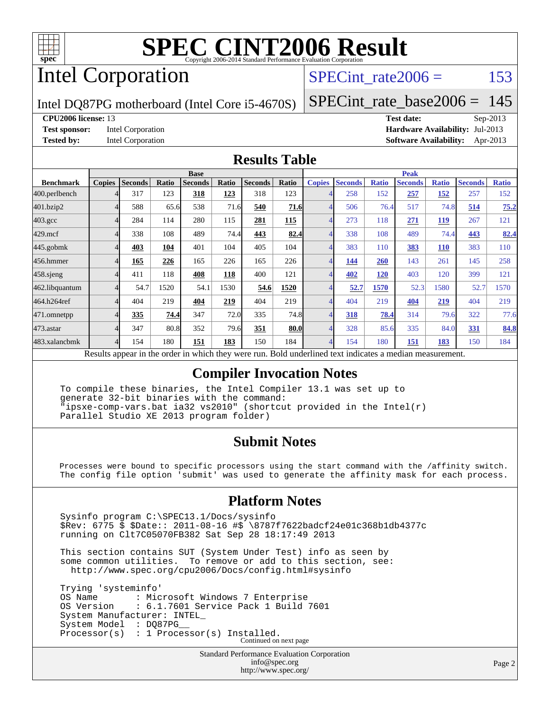

## Intel Corporation

#### SPECint rate $2006 =$  153

Intel DQ87PG motherboard (Intel Core i5-4670S)

[SPECint\\_rate\\_base2006 =](http://www.spec.org/auto/cpu2006/Docs/result-fields.html#SPECintratebase2006) 145

#### **[CPU2006 license:](http://www.spec.org/auto/cpu2006/Docs/result-fields.html#CPU2006license)** 13 **[Test date:](http://www.spec.org/auto/cpu2006/Docs/result-fields.html#Testdate)** Sep-2013

**[Test sponsor:](http://www.spec.org/auto/cpu2006/Docs/result-fields.html#Testsponsor)** Intel Corporation **[Hardware Availability:](http://www.spec.org/auto/cpu2006/Docs/result-fields.html#HardwareAvailability)** Jul-2013 **[Tested by:](http://www.spec.org/auto/cpu2006/Docs/result-fields.html#Testedby)** Intel Corporation **[Software Availability:](http://www.spec.org/auto/cpu2006/Docs/result-fields.html#SoftwareAvailability)** Apr-2013

#### **[Results Table](http://www.spec.org/auto/cpu2006/Docs/result-fields.html#ResultsTable)**

|                    | <b>Base</b>                   |                |       |                |       |                | <b>Peak</b>          |                |                |              |                |              |                |              |
|--------------------|-------------------------------|----------------|-------|----------------|-------|----------------|----------------------|----------------|----------------|--------------|----------------|--------------|----------------|--------------|
| <b>Benchmark</b>   | <b>Copies</b>                 | <b>Seconds</b> | Ratio | <b>Seconds</b> | Ratio | <b>Seconds</b> | Ratio                | <b>Copies</b>  | <b>Seconds</b> | <b>Ratio</b> | <b>Seconds</b> | <b>Ratio</b> | <b>Seconds</b> | <b>Ratio</b> |
| 400.perlbench      |                               | 317            | 123   | 318            | 123   | 318            | 123                  |                | 258            | 152          | 257            | <u>152</u>   | 257            | 152          |
| 401.bzip2          |                               | 588            | 65.6  | 538            | 71.6  | 540            | 71.6                 |                | 506            | 76.4         | 517            | 74.8         | <u>514</u>     | 75.2         |
| $403.\mathrm{gcc}$ |                               | 284            | 114   | 280            | 115   | 281            | 115                  | 4              | 273            | 118          | 271            | 119          | 267            | 121          |
| $429$ .mcf         |                               | 338            | 108   | 489            | 74.4  | 443            | 82.4                 | 4              | 338            | 108          | 489            | 74.4         | 443            | 82.4         |
| $445$ .gobmk       |                               | 403            | 104   | 401            | 104   | 405            | 104                  | 4              | 383            | 110          | 383            | <b>110</b>   | 383            | 110          |
| 456.hmmer          |                               | 165            | 226   | 165            | 226   | 165            | 226                  |                | 144            | 260          | 143            | 261          | 145            | 258          |
| 458.sjeng          |                               | 411            | 118   | 408            | 118   | 400            | 121                  | $\overline{4}$ | 402            | 120          | 403            | 120          | 399            | 121          |
| 462.libquantum     |                               | 54.7           | 1520  | 54.1           | 1530  | 54.6           | 1520                 |                | 52.7           | 1570         | 52.3           | 1580         | 52.7           | 1570         |
| 464.h264ref        |                               | 404            | 219   | 404            | 219   | 404            | 219                  | 4              | 404            | 219          | 404            | 219          | 404            | 219          |
| 471.omnetpp        |                               | 335            | 74.4  | 347            | 72.0  | 335            | 74.8                 | $\overline{4}$ | 318            | 78.4         | 314            | 79.6         | 322            | 77.6         |
| 473.astar          |                               | 347            | 80.8  | 352            | 79.6  | 351            | <u>80.0</u>          | 4              | 328            | 85.6         | 335            | 84.0         | 331            | 84.8         |
| 483.xalancbmk      |                               | 154            | 180   | 151            | 183   | 150            | 184                  | 4              | 154            | 180          | 151            | <u>183</u>   | 150            | 184          |
|                    | $\mathbf{D} \cdot \mathbf{I}$ | 2.11           |       | $1.3 - 1.41$   |       |                | $D$ . 1.1 = 1. 1.1 = |                | $2.12 - 12.2$  |              |                |              |                |              |

Results appear in the [order in which they were run.](http://www.spec.org/auto/cpu2006/Docs/result-fields.html#RunOrder) Bold underlined text [indicates a median measurement.](http://www.spec.org/auto/cpu2006/Docs/result-fields.html#Median)

#### **[Compiler Invocation Notes](http://www.spec.org/auto/cpu2006/Docs/result-fields.html#CompilerInvocationNotes)**

 To compile these binaries, the Intel Compiler 13.1 was set up to generate 32-bit binaries with the command: "ipsxe-comp-vars.bat ia32 vs2010" (shortcut provided in the Intel(r) Parallel Studio XE 2013 program folder)

#### **[Submit Notes](http://www.spec.org/auto/cpu2006/Docs/result-fields.html#SubmitNotes)**

 Processes were bound to specific processors using the start command with the /affinity switch. The config file option 'submit' was used to generate the affinity mask for each process.

#### **[Platform Notes](http://www.spec.org/auto/cpu2006/Docs/result-fields.html#PlatformNotes)**

 Sysinfo program C:\SPEC13.1/Docs/sysinfo \$Rev: 6775 \$ \$Date:: 2011-08-16 #\$ \8787f7622badcf24e01c368b1db4377c running on Clt7C05070FB382 Sat Sep 28 18:17:49 2013

 This section contains SUT (System Under Test) info as seen by some common utilities. To remove or add to this section, see: <http://www.spec.org/cpu2006/Docs/config.html#sysinfo>

 Trying 'systeminfo' OS Name : Microsoft Windows 7 Enterprise<br>OS Version : 6.1.7601 Service Pack 1 Build : 6.1.7601 Service Pack 1 Build 7601 System Manufacturer: INTEL\_ System Model : DQ87PG Processor(s) : 1 Processor(s) Installed. Continued on next page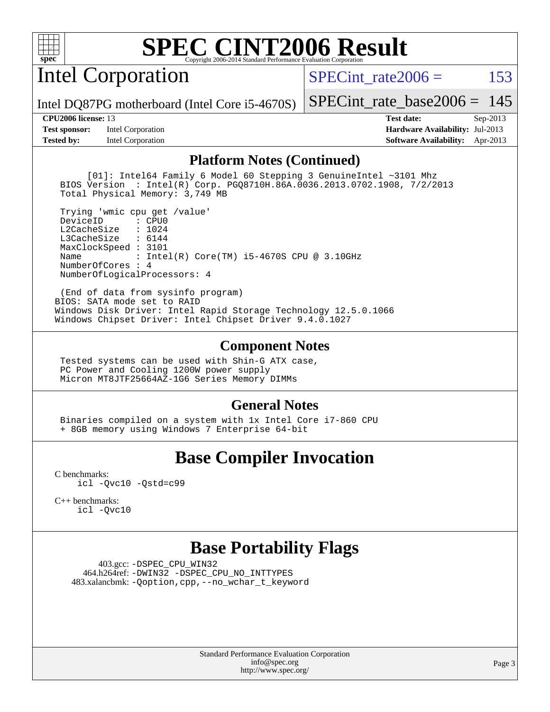

Intel Corporation

SPECint rate $2006 = 153$ 

Intel DQ87PG motherboard (Intel Core i5-4670S)

#### **[CPU2006 license:](http://www.spec.org/auto/cpu2006/Docs/result-fields.html#CPU2006license)** 13 **[Test date:](http://www.spec.org/auto/cpu2006/Docs/result-fields.html#Testdate)** Sep-2013

**[Test sponsor:](http://www.spec.org/auto/cpu2006/Docs/result-fields.html#Testsponsor)** Intel Corporation **[Hardware Availability:](http://www.spec.org/auto/cpu2006/Docs/result-fields.html#HardwareAvailability)** Jul-2013

[SPECint\\_rate\\_base2006 =](http://www.spec.org/auto/cpu2006/Docs/result-fields.html#SPECintratebase2006) 145

**[Tested by:](http://www.spec.org/auto/cpu2006/Docs/result-fields.html#Testedby)** Intel Corporation **[Software Availability:](http://www.spec.org/auto/cpu2006/Docs/result-fields.html#SoftwareAvailability)** Apr-2013

#### **[Platform Notes \(Continued\)](http://www.spec.org/auto/cpu2006/Docs/result-fields.html#PlatformNotes)**

 [01]: Intel64 Family 6 Model 60 Stepping 3 GenuineIntel ~3101 Mhz BIOS Version : Intel(R) Corp. PGQ8710H.86A.0036.2013.0702.1908, 7/2/2013 Total Physical Memory: 3,749 MB

 Trying 'wmic cpu get /value' DeviceID L2CacheSize : 1024 L3CacheSize : 6144 MaxClockSpeed : 3101 Name : Intel(R) Core(TM) i5-4670S CPU @ 3.10GHz NumberOfCores : 4 NumberOfLogicalProcessors: 4

 (End of data from sysinfo program) BIOS: SATA mode set to RAID Windows Disk Driver: Intel Rapid Storage Technology 12.5.0.1066 Windows Chipset Driver: Intel Chipset Driver 9.4.0.1027

#### **[Component Notes](http://www.spec.org/auto/cpu2006/Docs/result-fields.html#ComponentNotes)**

 Tested systems can be used with Shin-G ATX case, PC Power and Cooling 1200W power supply Micron MT8JTF25664AZ-1G6 Series Memory DIMMs

#### **[General Notes](http://www.spec.org/auto/cpu2006/Docs/result-fields.html#GeneralNotes)**

 Binaries compiled on a system with 1x Intel Core i7-860 CPU + 8GB memory using Windows 7 Enterprise 64-bit

#### **[Base Compiler Invocation](http://www.spec.org/auto/cpu2006/Docs/result-fields.html#BaseCompilerInvocation)**

[C benchmarks](http://www.spec.org/auto/cpu2006/Docs/result-fields.html#Cbenchmarks): [icl -Qvc10](http://www.spec.org/cpu2006/results/res2014q3/cpu2006-20140701-30218.flags.html#user_CCbase_intel_icc_vc10_9607f3ecbcdf68042245f068e51b40c1) [-Qstd=c99](http://www.spec.org/cpu2006/results/res2014q3/cpu2006-20140701-30218.flags.html#user_CCbase_intel_compiler_c99_mode_1a3d110e3041b3ad4466830521bdad2a)

[C++ benchmarks:](http://www.spec.org/auto/cpu2006/Docs/result-fields.html#CXXbenchmarks) [icl -Qvc10](http://www.spec.org/cpu2006/results/res2014q3/cpu2006-20140701-30218.flags.html#user_CXXbase_intel_icc_vc10_9607f3ecbcdf68042245f068e51b40c1)

#### **[Base Portability Flags](http://www.spec.org/auto/cpu2006/Docs/result-fields.html#BasePortabilityFlags)**

 403.gcc: [-DSPEC\\_CPU\\_WIN32](http://www.spec.org/cpu2006/results/res2014q3/cpu2006-20140701-30218.flags.html#b403.gcc_baseCPORTABILITY_DSPEC_CPU_WIN32) 464.h264ref: [-DWIN32](http://www.spec.org/cpu2006/results/res2014q3/cpu2006-20140701-30218.flags.html#b464.h264ref_baseCPORTABILITY_DWIN32) [-DSPEC\\_CPU\\_NO\\_INTTYPES](http://www.spec.org/cpu2006/results/res2014q3/cpu2006-20140701-30218.flags.html#b464.h264ref_baseCPORTABILITY_DSPEC_CPU_NO_INTTYPES) 483.xalancbmk: [-Qoption,cpp,--no\\_wchar\\_t\\_keyword](http://www.spec.org/cpu2006/results/res2014q3/cpu2006-20140701-30218.flags.html#user_baseCXXPORTABILITY483_xalancbmk_f-no_wchar_t_keyword_ec0ad4495a16b4e858bfcb29d949d25d)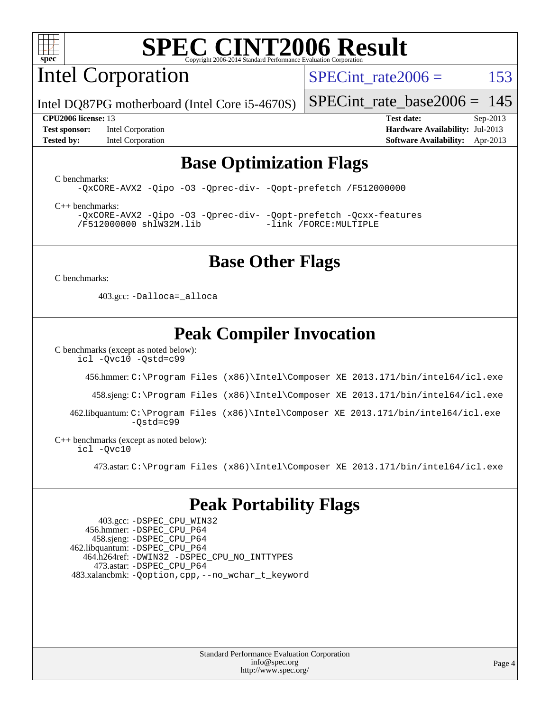

Intel Corporation

SPECint rate $2006 =$  153

[SPECint\\_rate\\_base2006 =](http://www.spec.org/auto/cpu2006/Docs/result-fields.html#SPECintratebase2006) 145

Intel DQ87PG motherboard (Intel Core i5-4670S)

**[Test sponsor:](http://www.spec.org/auto/cpu2006/Docs/result-fields.html#Testsponsor)** Intel Corporation **[Hardware Availability:](http://www.spec.org/auto/cpu2006/Docs/result-fields.html#HardwareAvailability)** Jul-2013 **[Tested by:](http://www.spec.org/auto/cpu2006/Docs/result-fields.html#Testedby)** Intel Corporation **[Software Availability:](http://www.spec.org/auto/cpu2006/Docs/result-fields.html#SoftwareAvailability)** Apr-2013

**[CPU2006 license:](http://www.spec.org/auto/cpu2006/Docs/result-fields.html#CPU2006license)** 13 **[Test date:](http://www.spec.org/auto/cpu2006/Docs/result-fields.html#Testdate)** Sep-2013

### **[Base Optimization Flags](http://www.spec.org/auto/cpu2006/Docs/result-fields.html#BaseOptimizationFlags)**

[C benchmarks](http://www.spec.org/auto/cpu2006/Docs/result-fields.html#Cbenchmarks):

[-QxCORE-AVX2](http://www.spec.org/cpu2006/results/res2014q3/cpu2006-20140701-30218.flags.html#user_CCbase_f-QxAVX2_f98716b5f9e905f99c943c56f21bf430) [-Qipo](http://www.spec.org/cpu2006/results/res2014q3/cpu2006-20140701-30218.flags.html#user_CCbase_f-Qipo) [-O3](http://www.spec.org/cpu2006/results/res2014q3/cpu2006-20140701-30218.flags.html#user_CCbase_f-O3) [-Qprec-div-](http://www.spec.org/cpu2006/results/res2014q3/cpu2006-20140701-30218.flags.html#user_CCbase_f-Qprec-div-) [-Qopt-prefetch](http://www.spec.org/cpu2006/results/res2014q3/cpu2006-20140701-30218.flags.html#user_CCbase_f-Qprefetch_37c211608666b9dff9380561f602f0a8) [/F512000000](http://www.spec.org/cpu2006/results/res2014q3/cpu2006-20140701-30218.flags.html#user_CCbase_set_stack_space_98438a10eb60aa5f35f4c79d9b9b27b1)

[C++ benchmarks:](http://www.spec.org/auto/cpu2006/Docs/result-fields.html#CXXbenchmarks) [-QxCORE-AVX2](http://www.spec.org/cpu2006/results/res2014q3/cpu2006-20140701-30218.flags.html#user_CXXbase_f-QxAVX2_f98716b5f9e905f99c943c56f21bf430) [-Qipo](http://www.spec.org/cpu2006/results/res2014q3/cpu2006-20140701-30218.flags.html#user_CXXbase_f-Qipo) [-O3](http://www.spec.org/cpu2006/results/res2014q3/cpu2006-20140701-30218.flags.html#user_CXXbase_f-O3) [-Qprec-div-](http://www.spec.org/cpu2006/results/res2014q3/cpu2006-20140701-30218.flags.html#user_CXXbase_f-Qprec-div-) [-Qopt-prefetch](http://www.spec.org/cpu2006/results/res2014q3/cpu2006-20140701-30218.flags.html#user_CXXbase_f-Qprefetch_37c211608666b9dff9380561f602f0a8) [-Qcxx-features](http://www.spec.org/cpu2006/results/res2014q3/cpu2006-20140701-30218.flags.html#user_CXXbase_f-Qcxx_features_dbf36c8a6dba956e22f1645e4dcd4d98) [/F512000000](http://www.spec.org/cpu2006/results/res2014q3/cpu2006-20140701-30218.flags.html#user_CXXbase_set_stack_space_98438a10eb60aa5f35f4c79d9b9b27b1) [shlW32M.lib](http://www.spec.org/cpu2006/results/res2014q3/cpu2006-20140701-30218.flags.html#user_CXXbase_SmartHeap32_d106338dfda1a055705c9b519e07f096) [-link /FORCE:MULTIPLE](http://www.spec.org/cpu2006/results/res2014q3/cpu2006-20140701-30218.flags.html#user_CXXbase_link_force_multiple2_070fe330869edf77077b841074b8b0b6)

### **[Base Other Flags](http://www.spec.org/auto/cpu2006/Docs/result-fields.html#BaseOtherFlags)**

[C benchmarks](http://www.spec.org/auto/cpu2006/Docs/result-fields.html#Cbenchmarks):

403.gcc: [-Dalloca=\\_alloca](http://www.spec.org/cpu2006/results/res2014q3/cpu2006-20140701-30218.flags.html#b403.gcc_baseEXTRA_CFLAGS_Dalloca_be3056838c12de2578596ca5467af7f3)

### **[Peak Compiler Invocation](http://www.spec.org/auto/cpu2006/Docs/result-fields.html#PeakCompilerInvocation)**

[C benchmarks \(except as noted below\)](http://www.spec.org/auto/cpu2006/Docs/result-fields.html#Cbenchmarksexceptasnotedbelow):

[icl -Qvc10](http://www.spec.org/cpu2006/results/res2014q3/cpu2006-20140701-30218.flags.html#user_CCpeak_intel_icc_vc10_9607f3ecbcdf68042245f068e51b40c1) [-Qstd=c99](http://www.spec.org/cpu2006/results/res2014q3/cpu2006-20140701-30218.flags.html#user_CCpeak_intel_compiler_c99_mode_1a3d110e3041b3ad4466830521bdad2a)

456.hmmer: [C:\Program Files \(x86\)\Intel\Composer XE 2013.171/bin/intel64/icl.exe](http://www.spec.org/cpu2006/results/res2014q3/cpu2006-20140701-30218.flags.html#user_peakCCLD456_hmmer_intel_icc_64bit_a47adb23ffeeb40a4c72a454746f326c)

458.sjeng: [C:\Program Files \(x86\)\Intel\Composer XE 2013.171/bin/intel64/icl.exe](http://www.spec.org/cpu2006/results/res2014q3/cpu2006-20140701-30218.flags.html#user_peakCCLD458_sjeng_intel_icc_64bit_a47adb23ffeeb40a4c72a454746f326c)

 462.libquantum: [C:\Program Files \(x86\)\Intel\Composer XE 2013.171/bin/intel64/icl.exe](http://www.spec.org/cpu2006/results/res2014q3/cpu2006-20140701-30218.flags.html#user_peakCCLD462_libquantum_intel_icc_64bit_a47adb23ffeeb40a4c72a454746f326c)  $-Ostd=c99$ 

[C++ benchmarks \(except as noted below\):](http://www.spec.org/auto/cpu2006/Docs/result-fields.html#CXXbenchmarksexceptasnotedbelow) [icl -Qvc10](http://www.spec.org/cpu2006/results/res2014q3/cpu2006-20140701-30218.flags.html#user_CXXpeak_intel_icc_vc10_9607f3ecbcdf68042245f068e51b40c1)

473.astar: [C:\Program Files \(x86\)\Intel\Composer XE 2013.171/bin/intel64/icl.exe](http://www.spec.org/cpu2006/results/res2014q3/cpu2006-20140701-30218.flags.html#user_peakCXXLD473_astar_intel_icc_64bit_a47adb23ffeeb40a4c72a454746f326c)

### **[Peak Portability Flags](http://www.spec.org/auto/cpu2006/Docs/result-fields.html#PeakPortabilityFlags)**

 403.gcc: [-DSPEC\\_CPU\\_WIN32](http://www.spec.org/cpu2006/results/res2014q3/cpu2006-20140701-30218.flags.html#b403.gcc_peakCPORTABILITY_DSPEC_CPU_WIN32) 456.hmmer: [-DSPEC\\_CPU\\_P64](http://www.spec.org/cpu2006/results/res2014q3/cpu2006-20140701-30218.flags.html#suite_peakPORTABILITY456_hmmer_DSPEC_CPU_P64) 458.sjeng: [-DSPEC\\_CPU\\_P64](http://www.spec.org/cpu2006/results/res2014q3/cpu2006-20140701-30218.flags.html#suite_peakPORTABILITY458_sjeng_DSPEC_CPU_P64) 462.libquantum: [-DSPEC\\_CPU\\_P64](http://www.spec.org/cpu2006/results/res2014q3/cpu2006-20140701-30218.flags.html#suite_peakPORTABILITY462_libquantum_DSPEC_CPU_P64) 464.h264ref: [-DWIN32](http://www.spec.org/cpu2006/results/res2014q3/cpu2006-20140701-30218.flags.html#b464.h264ref_peakCPORTABILITY_DWIN32) [-DSPEC\\_CPU\\_NO\\_INTTYPES](http://www.spec.org/cpu2006/results/res2014q3/cpu2006-20140701-30218.flags.html#b464.h264ref_peakCPORTABILITY_DSPEC_CPU_NO_INTTYPES) 473.astar: [-DSPEC\\_CPU\\_P64](http://www.spec.org/cpu2006/results/res2014q3/cpu2006-20140701-30218.flags.html#suite_peakPORTABILITY473_astar_DSPEC_CPU_P64) 483.xalancbmk: [-Qoption,cpp,--no\\_wchar\\_t\\_keyword](http://www.spec.org/cpu2006/results/res2014q3/cpu2006-20140701-30218.flags.html#user_peakCXXPORTABILITY483_xalancbmk_f-no_wchar_t_keyword_ec0ad4495a16b4e858bfcb29d949d25d)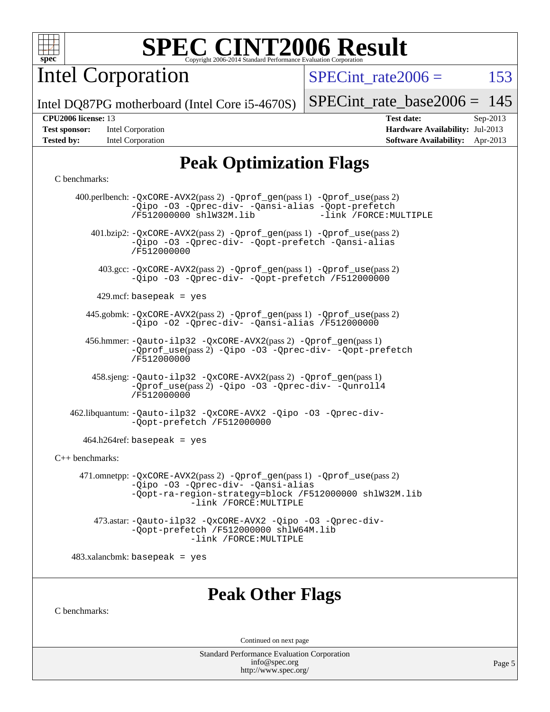

Intel Corporation

 $SPECTnt_rate2006 = 153$ 

Intel DQ87PG motherboard (Intel Core i5-4670S)

| <b>Test sponsor:</b> | Intel Corporation |
|----------------------|-------------------|
| <b>Tested by:</b>    | Intel Corporation |

[SPECint\\_rate\\_base2006 =](http://www.spec.org/auto/cpu2006/Docs/result-fields.html#SPECintratebase2006) 145 **[CPU2006 license:](http://www.spec.org/auto/cpu2006/Docs/result-fields.html#CPU2006license)** 13 **[Test date:](http://www.spec.org/auto/cpu2006/Docs/result-fields.html#Testdate)** Sep-2013

**[Hardware Availability:](http://www.spec.org/auto/cpu2006/Docs/result-fields.html#HardwareAvailability)** Jul-2013 **[Software Availability:](http://www.spec.org/auto/cpu2006/Docs/result-fields.html#SoftwareAvailability)** Apr-2013

### **[Peak Optimization Flags](http://www.spec.org/auto/cpu2006/Docs/result-fields.html#PeakOptimizationFlags)**

#### [C benchmarks](http://www.spec.org/auto/cpu2006/Docs/result-fields.html#Cbenchmarks):

|                                          | 400.perlbench: -QxCORE-AVX2(pass 2) -Qprof_gen(pass 1) -Qprof_use(pass 2)<br>-Qipo -03 -Qprec-div- -Qansi-alias -Qopt-prefetch<br>/F512000000 shlW32M.lib<br>-link /FORCE: MULTIPLE                   |  |  |
|------------------------------------------|-------------------------------------------------------------------------------------------------------------------------------------------------------------------------------------------------------|--|--|
|                                          | 401.bzip2: -QxCORE-AVX2(pass 2) -Qprof_gen(pass 1) -Qprof_use(pass 2)<br>-Qipo -03 -Qprec-div- -Qopt-prefetch -Qansi-alias<br>/F512000000                                                             |  |  |
|                                          | 403.gcc: -QxCORE-AVX2(pass 2) -Qprof_gen(pass 1) -Qprof_use(pass 2)<br>-Qipo -03 -Qprec-div- -Qopt-prefetch /F512000000                                                                               |  |  |
|                                          | $429$ .mcf: basepeak = yes                                                                                                                                                                            |  |  |
|                                          | 445.gobmk: -QxCORE-AVX2(pass 2) -Qprof_gen(pass 1) -Qprof_use(pass 2)<br>$-Qipo -O2 -Qprec-div-Qansi-alias /F512000000$                                                                               |  |  |
|                                          | 456.hmmer: -Qauto-ilp32 -QxCORE-AVX2(pass 2) -Qprof_gen(pass 1)<br>-Oprof_use(pass 2) -Qipo -03 -Oprec-div- -Oopt-prefetch<br>/F512000000                                                             |  |  |
|                                          | 458.sjeng: -Qauto-ilp32 -QxCORE-AVX2(pass 2) -Qprof_gen(pass 1)<br>-Qprof_use(pass 2) -Qipo -03 -Qprec-div- -Qunroll4<br>/F512000000                                                                  |  |  |
|                                          | 462.libquantum: -Qauto-ilp32 -QxCORE-AVX2 -Qipo -03 -Qprec-div-<br>-Qopt-prefetch /F512000000                                                                                                         |  |  |
|                                          | $464.h264 \text{ref}$ : basepeak = yes                                                                                                                                                                |  |  |
| C++ benchmarks:                          |                                                                                                                                                                                                       |  |  |
|                                          | 471.omnetpp: $-QxCORE-AVX2(pass 2) -Qprof\_gen(pass 1) -Qprof\_use(pass 2)$<br>-Qipo -03 -Qprec-div- -Qansi-alias<br>-Qopt-ra-region-strategy=block /F512000000 shlW32M.lib<br>-link /FORCE: MULTIPLE |  |  |
|                                          | 473.astar: -Qauto-ilp32 -QxCORE-AVX2 -Qipo -03 -Qprec-div-<br>-Qopt-prefetch /F512000000 shlW64M.lib<br>-link /FORCE: MULTIPLE                                                                        |  |  |
|                                          | $483.xalanchmk: basepeak = yes$                                                                                                                                                                       |  |  |
| <b>Peak Other Flags</b><br>C benchmarks: |                                                                                                                                                                                                       |  |  |
|                                          | Continued on next page                                                                                                                                                                                |  |  |